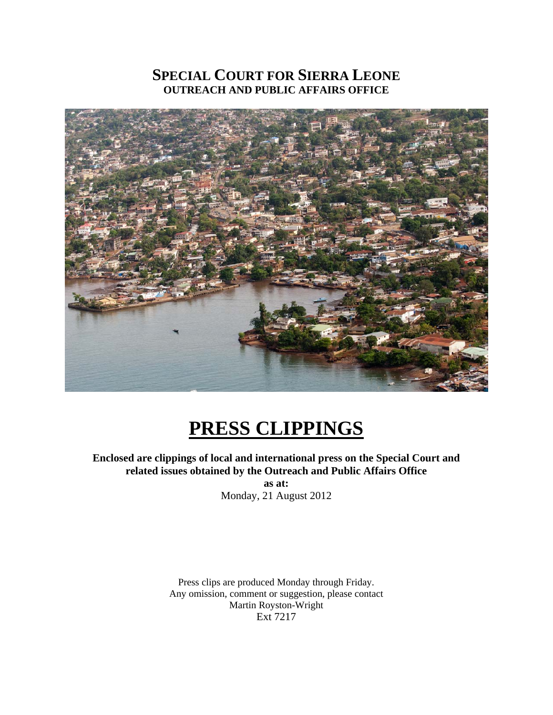# **SPECIAL COURT FOR SIERRA LEONE OUTREACH AND PUBLIC AFFAIRS OFFICE**



# **PRESS CLIPPINGS**

**Enclosed are clippings of local and international press on the Special Court and related issues obtained by the Outreach and Public Affairs Office** 

> **as at:**  Monday, 21 August 2012

Press clips are produced Monday through Friday. Any omission, comment or suggestion, please contact Martin Royston-Wright Ext 7217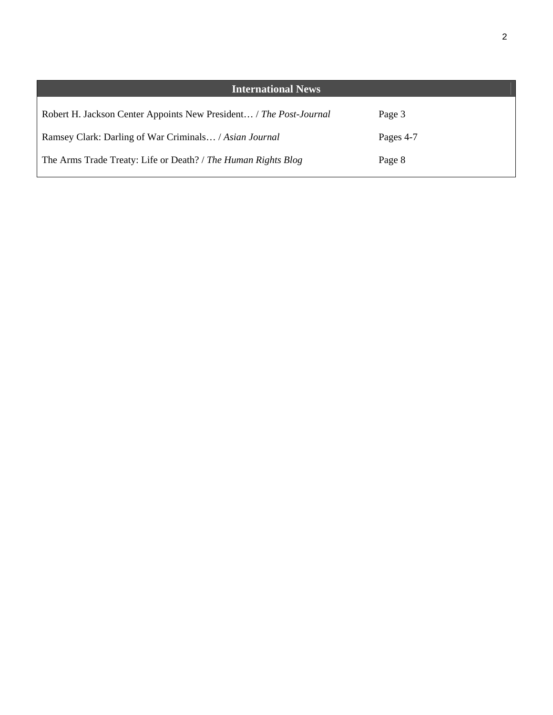| <b>International News</b>                                          |           |
|--------------------------------------------------------------------|-----------|
| Robert H. Jackson Center Appoints New President / The Post-Journal | Page 3    |
| Ramsey Clark: Darling of War Criminals / Asian Journal             | Pages 4-7 |
| The Arms Trade Treaty: Life or Death? / The Human Rights Blog      | Page 8    |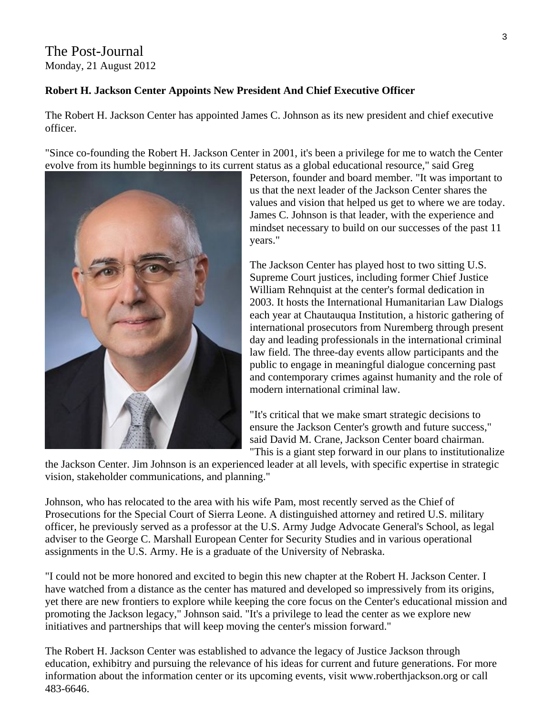## The Post-Journal Monday, 21 August 2012

### **Robert H. Jackson Center Appoints New President And Chief Executive Officer**

The Robert H. Jackson Center has appointed James C. Johnson as its new president and chief executive officer.

"Since co-founding the Robert H. Jackson Center in 2001, it's been a privilege for me to watch the Center evolve from its humble beginnings to its current status as a global educational resource," said Greg



Peterson, founder and board member. "It was important to us that the next leader of the Jackson Center shares the values and vision that helped us get to where we are today. James C. Johnson is that leader, with the experience and mindset necessary to build on our successes of the past 11 years."

The Jackson Center has played host to two sitting U.S. Supreme Court justices, including former Chief Justice William Rehnquist at the center's formal dedication in 2003. It hosts the International Humanitarian Law Dialogs each year at Chautauqua Institution, a historic gathering of international prosecutors from Nuremberg through present day and leading professionals in the international criminal law field. The three-day events allow participants and the public to engage in meaningful dialogue concerning past and contemporary crimes against humanity and the role of modern international criminal law.

"It's critical that we make smart strategic decisions to ensure the Jackson Center's growth and future success," said David M. Crane, Jackson Center board chairman. "This is a giant step forward in our plans to institutionalize

the Jackson Center. Jim Johnson is an experienced leader at all levels, with specific expertise in strategic vision, stakeholder communications, and planning."

Johnson, who has relocated to the area with his wife Pam, most recently served as the Chief of Prosecutions for the Special Court of Sierra Leone. A distinguished attorney and retired U.S. military officer, he previously served as a professor at the U.S. Army Judge Advocate General's School, as legal adviser to the George C. Marshall European Center for Security Studies and in various operational assignments in the U.S. Army. He is a graduate of the University of Nebraska.

"I could not be more honored and excited to begin this new chapter at the Robert H. Jackson Center. I have watched from a distance as the center has matured and developed so impressively from its origins, yet there are new frontiers to explore while keeping the core focus on the Center's educational mission and promoting the Jackson legacy," Johnson said. "It's a privilege to lead the center as we explore new initiatives and partnerships that will keep moving the center's mission forward."

The Robert H. Jackson Center was established to advance the legacy of Justice Jackson through education, exhibitry and pursuing the relevance of his ideas for current and future generations. For more information about the information center or its upcoming events, visit www.roberthjackson.org or call 483-6646.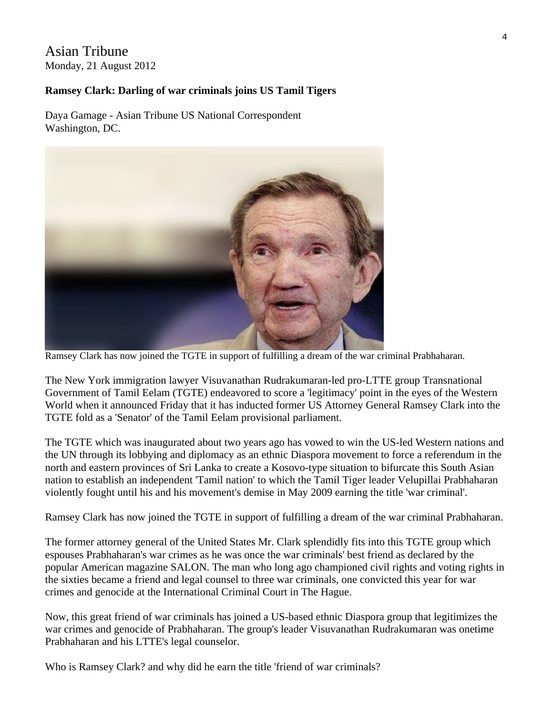## Asian Tribune Monday, 21 August 2012

#### **Ramsey Clark: Darling of war criminals joins US Tamil Tigers**

Daya Gamage - Asian Tribune US National Correspondent Washington, DC.



Ramsey Clark has now joined the TGTE in support of fulfilling a dream of the war criminal Prabhaharan.

The New York immigration lawyer Visuvanathan Rudrakumaran-led pro-LTTE group Transnational Government of Tamil Eelam (TGTE) endeavored to score a 'legitimacy' point in the eyes of the Western World when it announced Friday that it has inducted former US Attorney General Ramsey Clark into the TGTE fold as a 'Senator' of the Tamil Eelam provisional parliament.

The TGTE which was inaugurated about two years ago has vowed to win the US-led Western nations and the UN through its lobbying and diplomacy as an ethnic Diaspora movement to force a referendum in the north and eastern provinces of Sri Lanka to create a Kosovo-type situation to bifurcate this South Asian nation to establish an independent 'Tamil nation' to which the Tamil Tiger leader Velupillai Prabhaharan violently fought until his and his movement's demise in May 2009 earning the title 'war criminal'.

Ramsey Clark has now joined the TGTE in support of fulfilling a dream of the war criminal Prabhaharan.

The former attorney general of the United States Mr. Clark splendidly fits into this TGTE group which espouses Prabhaharan's war crimes as he was once the war criminals' best friend as declared by the popular American magazine SALON. The man who long ago championed civil rights and voting rights in the sixties became a friend and legal counsel to three war criminals, one convicted this year for war crimes and genocide at the International Criminal Court in The Hague.

Now, this great friend of war criminals has joined a US-based ethnic Diaspora group that legitimizes the war crimes and genocide of Prabhaharan. The group's leader Visuvanathan Rudrakumaran was onetime Prabhaharan and his LTTE's legal counselor.

Who is Ramsey Clark? and why did he earn the title 'friend of war criminals?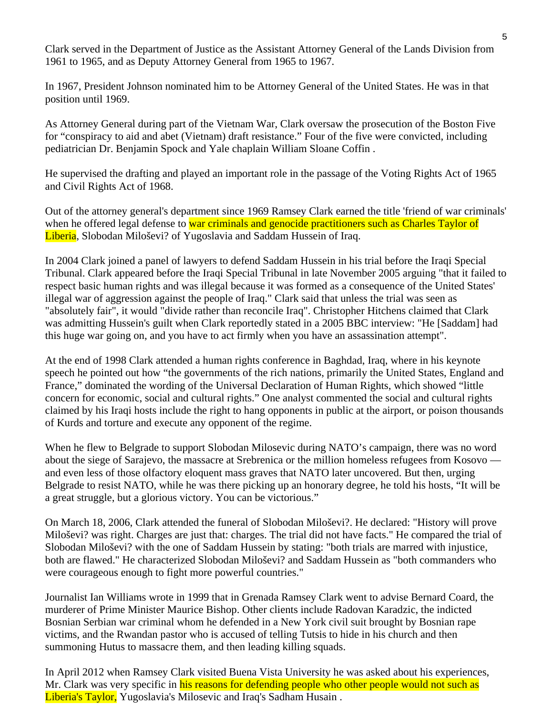Clark served in the Department of Justice as the Assistant Attorney General of the Lands Division from 1961 to 1965, and as Deputy Attorney General from 1965 to 1967.

In 1967, President Johnson nominated him to be Attorney General of the United States. He was in that position until 1969.

As Attorney General during part of the Vietnam War, Clark oversaw the prosecution of the Boston Five for "conspiracy to aid and abet (Vietnam) draft resistance." Four of the five were convicted, including pediatrician Dr. Benjamin Spock and Yale chaplain William Sloane Coffin .

He supervised the drafting and played an important role in the passage of the Voting Rights Act of 1965 and Civil Rights Act of 1968.

Out of the attorney general's department since 1969 Ramsey Clark earned the title 'friend of war criminals' when he offered legal defense to war criminals and genocide practitioners such as Charles Taylor of Liberia, Slobodan Miloševi? of Yugoslavia and Saddam Hussein of Iraq.

In 2004 Clark joined a panel of lawyers to defend Saddam Hussein in his trial before the Iraqi Special Tribunal. Clark appeared before the Iraqi Special Tribunal in late November 2005 arguing "that it failed to respect basic human rights and was illegal because it was formed as a consequence of the United States' illegal war of aggression against the people of Iraq." Clark said that unless the trial was seen as "absolutely fair", it would "divide rather than reconcile Iraq". Christopher Hitchens claimed that Clark was admitting Hussein's guilt when Clark reportedly stated in a 2005 BBC interview: "He [Saddam] had this huge war going on, and you have to act firmly when you have an assassination attempt".

At the end of 1998 Clark attended a human rights conference in Baghdad, Iraq, where in his keynote speech he pointed out how "the governments of the rich nations, primarily the United States, England and France," dominated the wording of the Universal Declaration of Human Rights, which showed "little concern for economic, social and cultural rights." One analyst commented the social and cultural rights claimed by his Iraqi hosts include the right to hang opponents in public at the airport, or poison thousands of Kurds and torture and execute any opponent of the regime.

When he flew to Belgrade to support Slobodan Milosevic during NATO's campaign, there was no word about the siege of Sarajevo, the massacre at Srebrenica or the million homeless refugees from Kosovo and even less of those olfactory eloquent mass graves that NATO later uncovered. But then, urging Belgrade to resist NATO, while he was there picking up an honorary degree, he told his hosts, "It will be a great struggle, but a glorious victory. You can be victorious."

On March 18, 2006, Clark attended the funeral of Slobodan Miloševi?. He declared: "History will prove Miloševi? was right. Charges are just that: charges. The trial did not have facts." He compared the trial of Slobodan Miloševi? with the one of Saddam Hussein by stating: "both trials are marred with injustice, both are flawed." He characterized Slobodan Miloševi? and Saddam Hussein as "both commanders who were courageous enough to fight more powerful countries."

Journalist Ian Williams wrote in 1999 that in Grenada Ramsey Clark went to advise Bernard Coard, the murderer of Prime Minister Maurice Bishop. Other clients include Radovan Karadzic, the indicted Bosnian Serbian war criminal whom he defended in a New York civil suit brought by Bosnian rape victims, and the Rwandan pastor who is accused of telling Tutsis to hide in his church and then summoning Hutus to massacre them, and then leading killing squads.

In April 2012 when Ramsey Clark visited Buena Vista University he was asked about his experiences, Mr. Clark was very specific in his reasons for defending people who other people would not such as Liberia's Taylor, Yugoslavia's Milosevic and Iraq's Sadham Husain .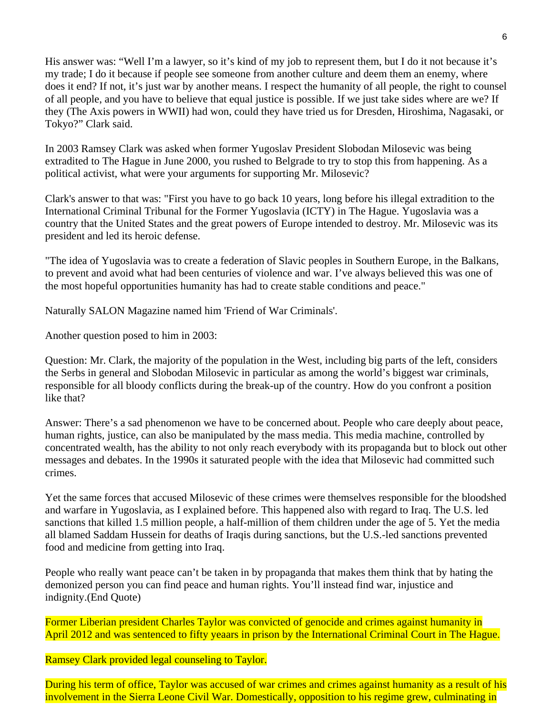His answer was: "Well I'm a lawyer, so it's kind of my job to represent them, but I do it not because it's my trade; I do it because if people see someone from another culture and deem them an enemy, where does it end? If not, it's just war by another means. I respect the humanity of all people, the right to counsel of all people, and you have to believe that equal justice is possible. If we just take sides where are we? If they (The Axis powers in WWII) had won, could they have tried us for Dresden, Hiroshima, Nagasaki, or Tokyo?" Clark said.

In 2003 Ramsey Clark was asked when former Yugoslav President Slobodan Milosevic was being extradited to The Hague in June 2000, you rushed to Belgrade to try to stop this from happening. As a political activist, what were your arguments for supporting Mr. Milosevic?

Clark's answer to that was: "First you have to go back 10 years, long before his illegal extradition to the International Criminal Tribunal for the Former Yugoslavia (ICTY) in The Hague. Yugoslavia was a country that the United States and the great powers of Europe intended to destroy. Mr. Milosevic was its president and led its heroic defense.

"The idea of Yugoslavia was to create a federation of Slavic peoples in Southern Europe, in the Balkans, to prevent and avoid what had been centuries of violence and war. I've always believed this was one of the most hopeful opportunities humanity has had to create stable conditions and peace."

Naturally SALON Magazine named him 'Friend of War Criminals'.

Another question posed to him in 2003:

Question: Mr. Clark, the majority of the population in the West, including big parts of the left, considers the Serbs in general and Slobodan Milosevic in particular as among the world's biggest war criminals, responsible for all bloody conflicts during the break-up of the country. How do you confront a position like that?

Answer: There's a sad phenomenon we have to be concerned about. People who care deeply about peace, human rights, justice, can also be manipulated by the mass media. This media machine, controlled by concentrated wealth, has the ability to not only reach everybody with its propaganda but to block out other messages and debates. In the 1990s it saturated people with the idea that Milosevic had committed such crimes.

Yet the same forces that accused Milosevic of these crimes were themselves responsible for the bloodshed and warfare in Yugoslavia, as I explained before. This happened also with regard to Iraq. The U.S. led sanctions that killed 1.5 million people, a half-million of them children under the age of 5. Yet the media all blamed Saddam Hussein for deaths of Iraqis during sanctions, but the U.S.-led sanctions prevented food and medicine from getting into Iraq.

People who really want peace can't be taken in by propaganda that makes them think that by hating the demonized person you can find peace and human rights. You'll instead find war, injustice and indignity.(End Quote)

Former Liberian president Charles Taylor was convicted of genocide and crimes against humanity in April 2012 and was sentenced to fifty yeaars in prison by the International Criminal Court in The Hague.

Ramsey Clark provided legal counseling to Taylor.

During his term of office, Taylor was accused of war crimes and crimes against humanity as a result of his involvement in the Sierra Leone Civil War. Domestically, opposition to his regime grew, culminating in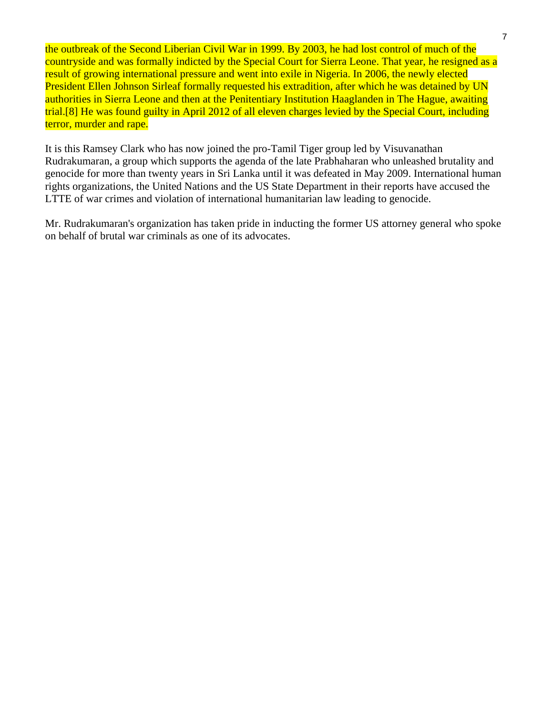the outbreak of the Second Liberian Civil War in 1999. By 2003, he had lost control of much of the countryside and was formally indicted by the Special Court for Sierra Leone. That year, he resigned as a result of growing international pressure and went into exile in Nigeria. In 2006, the newly elected President Ellen Johnson Sirleaf formally requested his extradition, after which he was detained by UN authorities in Sierra Leone and then at the Penitentiary Institution Haaglanden in The Hague, awaiting trial.[8] He was found guilty in April 2012 of all eleven charges levied by the Special Court, including terror, murder and rape.

It is this Ramsey Clark who has now joined the pro-Tamil Tiger group led by Visuvanathan Rudrakumaran, a group which supports the agenda of the late Prabhaharan who unleashed brutality and genocide for more than twenty years in Sri Lanka until it was defeated in May 2009. International human rights organizations, the United Nations and the US State Department in their reports have accused the LTTE of war crimes and violation of international humanitarian law leading to genocide.

Mr. Rudrakumaran's organization has taken pride in inducting the former US attorney general who spoke on behalf of brutal war criminals as one of its advocates.